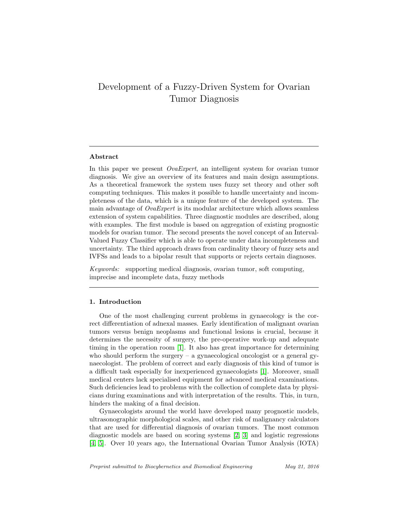# Development of a Fuzzy-Driven System for Ovarian Tumor Diagnosis

# Abstract

In this paper we present *OvaExpert*, an intelligent system for ovarian tumor diagnosis. We give an overview of its features and main design assumptions. As a theoretical framework the system uses fuzzy set theory and other soft computing techniques. This makes it possible to handle uncertainty and incompleteness of the data, which is a unique feature of the developed system. The main advantage of  $OvaExpert$  is its modular architecture which allows seamless extension of system capabilities. Three diagnostic modules are described, along with examples. The first module is based on aggregation of existing prognostic models for ovarian tumor. The second presents the novel concept of an Interval-Valued Fuzzy Classifier which is able to operate under data incompleteness and uncertainty. The third approach draws from cardinality theory of fuzzy sets and IVFSs and leads to a bipolar result that supports or rejects certain diagnoses.

Keywords: supporting medical diagnosis, ovarian tumor, soft computing, imprecise and incomplete data, fuzzy methods

# 1. Introduction

One of the most challenging current problems in gynaecology is the correct differentiation of adnexal masses. Early identification of malignant ovarian tumors versus benign neoplasms and functional lesions is crucial, because it determines the necessity of surgery, the pre-operative work-up and adequate timing in the operation room [\[1\]](#page-21-0). It also has great importance for determining who should perform the surgery – a gynaecological oncologist or a general gynaecologist. The problem of correct and early diagnosis of this kind of tumor is a difficult task especially for inexperienced gynaecologists [\[1\]](#page-21-0). Moreover, small medical centers lack specialised equipment for advanced medical examinations. Such deficiencies lead to problems with the collection of complete data by physicians during examinations and with interpretation of the results. This, in turn, hinders the making of a final decision.

Gynaecologists around the world have developed many prognostic models, ultrasonographic morphological scales, and other risk of malignancy calculators that are used for differential diagnosis of ovarian tumors. The most common diagnostic models are based on scoring systems [\[2,](#page-21-1) [3\]](#page-21-2) and logistic regressions [\[4,](#page-21-3) [5\]](#page-21-4). Over 10 years ago, the International Ovarian Tumor Analysis (IOTA)

Preprint submitted to Biocybernetics and Biomedical Engineering May 21, 2016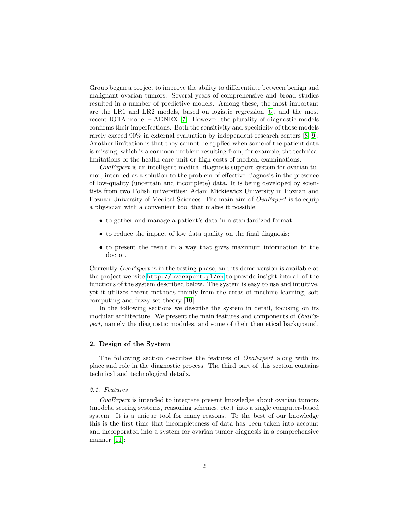Group began a project to improve the ability to differentiate between benign and malignant ovarian tumors. Several years of comprehensive and broad studies resulted in a number of predictive models. Among these, the most important are the LR1 and LR2 models, based on logistic regression [\[6\]](#page-21-5), and the most recent IOTA model – ADNEX [\[7\]](#page-21-6). However, the plurality of diagnostic models confirms their imperfections. Both the sensitivity and specificity of those models rarely exceed 90% in external evaluation by independent research centers [\[8,](#page-21-7) [9\]](#page-21-8). Another limitation is that they cannot be applied when some of the patient data is missing, which is a common problem resulting from, for example, the technical limitations of the health care unit or high costs of medical examinations.

 $OvaExpert$  is an intelligent medical diagnosis support system for ovarian tumor, intended as a solution to the problem of effective diagnosis in the presence of low-quality (uncertain and incomplete) data. It is being developed by scientists from two Polish universities: Adam Mickiewicz University in Poznan and Poznan University of Medical Sciences. The main aim of *OvaExpert* is to equip a physician with a convenient tool that makes it possible:

- to gather and manage a patient's data in a standardized format;
- to reduce the impact of low data quality on the final diagnosis;
- to present the result in a way that gives maximum information to the doctor.

Currently OvaExpert is in the testing phase, and its demo version is available at the project website <http://ovaexpert.pl/en> to provide insight into all of the functions of the system described below. The system is easy to use and intuitive, yet it utilizes recent methods mainly from the areas of machine learning, soft computing and fuzzy set theory [\[10\]](#page-22-0).

In the following sections we describe the system in detail, focusing on its modular architecture. We present the main features and components of  $OvaEx$ pert, namely the diagnostic modules, and some of their theoretical background.

## 2. Design of the System

The following section describes the features of OvaExpert along with its place and role in the diagnostic process. The third part of this section contains technical and technological details.

# 2.1. Features

OvaExpert is intended to integrate present knowledge about ovarian tumors (models, scoring systems, reasoning schemes, etc.) into a single computer-based system. It is a unique tool for many reasons. To the best of our knowledge this is the first time that incompleteness of data has been taken into account and incorporated into a system for ovarian tumor diagnosis in a comprehensive manner [\[11\]](#page-22-1):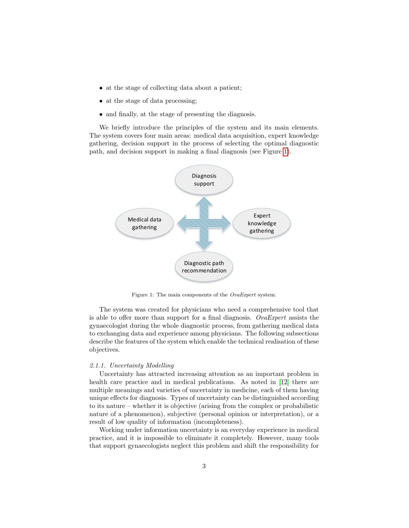- at the stage of collecting data about a patient;
- at the stage of data processing:
- and finally, at the stage of presenting the diagnosis.

We briefly introduce the principles of the system and its main elements. The system covers four main areas: medical data acquisition, expert knowledge gathering, decision support in the process of selecting the optimal diagnostic path, and decision support in making a final diagnosis (see Figure [1\)](#page-2-0).



<span id="page-2-0"></span>Figure 1: The main components of the *OvaExpert* system.

The system was created for physicians who need a comprehensive tool that is able to offer more than support for a final diagnosis. OvaExpert assists the gynaecologist during the whole diagnostic process, from gathering medical data to exchanging data and experience among physicians. The following subsections describe the features of the system which enable the technical realisation of these objectives.

#### 2.1.1. Uncertainty Modelling

Uncertainty has attracted increasing attention as an important problem in health care practice and in medical publications. As noted in [\[12\]](#page-22-2) there are multiple meanings and varieties of uncertainty in medicine, each of them having unique effects for diagnosis. Types of uncertainty can be distinguished according to its nature – whether it is objective (arising from the complex or probabilistic nature of a phenomenon), subjective (personal opinion or interpretation), or a result of low quality of information (incompleteness).

Working under information uncertainty is an everyday experience in medical practice, and it is impossible to eliminate it completely. However, many tools that support gynaecologists neglect this problem and shift the responsibility for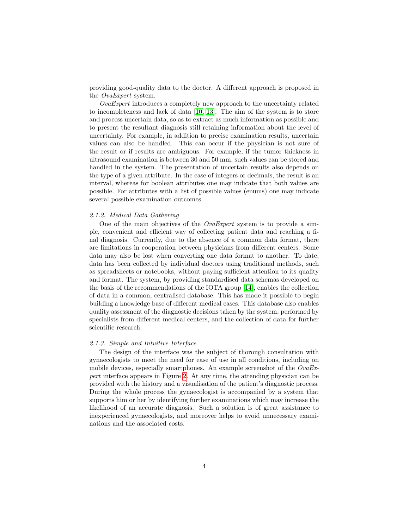providing good-quality data to the doctor. A different approach is proposed in the OvaExpert system.

OvaExpert introduces a completely new approach to the uncertainty related to incompleteness and lack of data [\[10,](#page-22-0) [13\]](#page-22-3). The aim of the system is to store and process uncertain data, so as to extract as much information as possible and to present the resultant diagnosis still retaining information about the level of uncertainty. For example, in addition to precise examination results, uncertain values can also be handled. This can occur if the physician is not sure of the result or if results are ambiguous. For example, if the tumor thickness in ultrasound examination is between 30 and 50 mm, such values can be stored and handled in the system. The presentation of uncertain results also depends on the type of a given attribute. In the case of integers or decimals, the result is an interval, whereas for boolean attributes one may indicate that both values are possible. For attributes with a list of possible values (enums) one may indicate several possible examination outcomes.

## 2.1.2. Medical Data Gathering

One of the main objectives of the *OvaExpert* system is to provide a simple, convenient and efficient way of collecting patient data and reaching a final diagnosis. Currently, due to the absence of a common data format, there are limitations in cooperation between physicians from different centers. Some data may also be lost when converting one data format to another. To date, data has been collected by individual doctors using traditional methods, such as spreadsheets or notebooks, without paying sufficient attention to its quality and format. The system, by providing standardised data schemas developed on the basis of the recommendations of the IOTA group [\[14\]](#page-22-4), enables the collection of data in a common, centralised database. This has made it possible to begin building a knowledge base of different medical cases. This database also enables quality assessment of the diagnostic decisions taken by the system, performed by specialists from different medical centers, and the collection of data for further scientific research.

# 2.1.3. Simple and Intuitive Interface

The design of the interface was the subject of thorough consultation with gynaecologists to meet the need for ease of use in all conditions, including on mobile devices, especially smartphones. An example screenshot of the  $OvaEx$ pert interface appears in Figure [2.](#page-4-0) At any time, the attending physician can be provided with the history and a visualisation of the patient's diagnostic process. During the whole process the gynaecologist is accompanied by a system that supports him or her by identifying further examinations which may increase the likelihood of an accurate diagnosis. Such a solution is of great assistance to inexperienced gynaecologists, and moreover helps to avoid unnecessary examinations and the associated costs.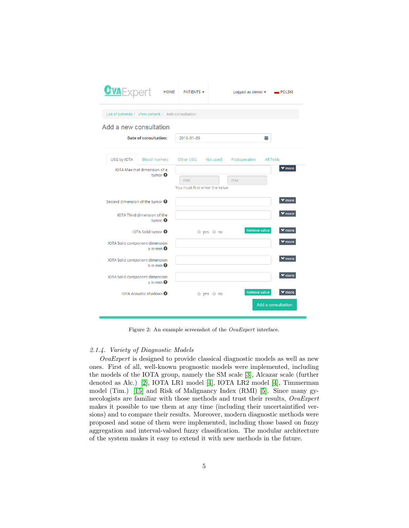| <b>OVA</b> Expert<br><b>HOMF</b>                                  | <b>PATIENTS +</b>              |                        | Logged as demo $\sim$ | $\equiv$ POLSKI            |
|-------------------------------------------------------------------|--------------------------------|------------------------|-----------------------|----------------------------|
| List of patients / View patient / Add consultation                |                                |                        |                       |                            |
| Add a new consultation                                            |                                |                        |                       |                            |
| <b>Date of consultation:</b>                                      | 2016-01-05                     |                        | 萹                     |                            |
| USG by IOTA<br><b>Blood markers</b>                               | Other USG                      | Not used               | Postoperative         | All fields                 |
| <b>IOTA Maximal dimension of a</b><br>tumor $\boldsymbol{\Theta}$ | min                            | max                    |                       | $\blacktriangledown$ more  |
|                                                                   | You must first enter the value |                        |                       |                            |
| Second dimension of the tumor <sup>O</sup>                        |                                |                        |                       | $\blacktriangleright$ more |
| <b>IOTA Third dimension of the</b><br>tumor $\boldsymbol{\Theta}$ |                                |                        |                       | $\blacktriangledown$ more  |
| <b>IOTA Solid tumor @</b>                                         |                                | $\circ$ yes $\circ$ no | <b>Remove value</b>   | $\blacktriangledown$ more  |
| IOTA Solid component dimension<br>a in mm $\Theta$                |                                |                        |                       | $\blacktriangledown$ more  |
| IOTA Solid component dimension<br>$b$ in mm $\Theta$              |                                |                        |                       | $\blacktriangledown$ more  |
| IOTA Solid component dimension<br>$c$ in mm $\Theta$              |                                |                        |                       | $\blacktriangleright$ more |
| <b>IOTA Acoustic shadows</b>                                      |                                | $\circ$ yes $\circ$ no | Remove value          | $\blacktriangleright$ more |
|                                                                   |                                |                        |                       | Add a consultation         |

<span id="page-4-0"></span>Figure 2: An example screenshot of the  $OvaExpert$  interface.

# 2.1.4. Variety of Diagnostic Models

 $OvaExpert$  is designed to provide classical diagnostic models as well as new ones. First of all, well-known prognostic models were implemented, including the models of the IOTA group, namely the SM scale [\[3\]](#page-21-2), Alcazar scale (further denoted as Alc.) [\[2\]](#page-21-1), IOTA LR1 model [\[4\]](#page-21-3), IOTA LR2 model [\[4\]](#page-21-3), Timmerman model (Tim.) [\[15\]](#page-22-5) and Risk of Malignancy Index (RMI) [\[5\]](#page-21-4). Since many gynecologists are familiar with those methods and trust their results, OvaExpert makes it possible to use them at any time (including their uncertaintified versions) and to compare their results. Moreover, modern diagnostic methods were proposed and some of them were implemented, including those based on fuzzy aggregation and interval-valued fuzzy classification. The modular architecture of the system makes it easy to extend it with new methods in the future.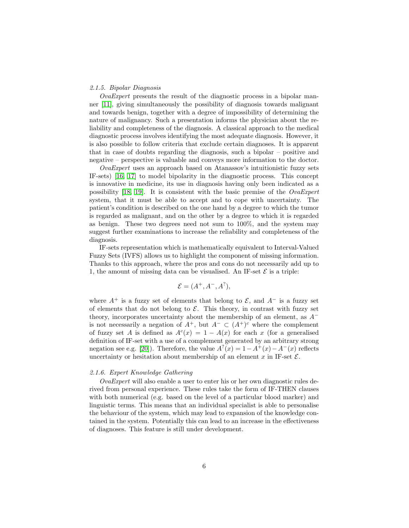# 2.1.5. Bipolar Diagnosis

OvaExpert presents the result of the diagnostic process in a bipolar manner [\[11\]](#page-22-1), giving simultaneously the possibility of diagnosis towards malignant and towards benign, together with a degree of impossibility of determining the nature of malignancy. Such a presentation informs the physician about the reliability and completeness of the diagnosis. A classical approach to the medical diagnostic process involves identifying the most adequate diagnosis. However, it is also possible to follow criteria that exclude certain diagnoses. It is apparent that in case of doubts regarding the diagnosis, such a bipolar – positive and negative – perspective is valuable and conveys more information to the doctor.

OvaExpert uses an approach based on Atanassov's intuitionistic fuzzy sets IF-sets) [\[16,](#page-22-6) [17\]](#page-22-7) to model bipolarity in the diagnostic process. This concept is innovative in medicine, its use in diagnosis having only been indicated as a possibility [\[18,](#page-22-8) [19\]](#page-22-9). It is consistent with the basic premise of the  $OvaExperiment$ system, that it must be able to accept and to cope with uncertainty. The patient's condition is described on the one hand by a degree to which the tumor is regarded as malignant, and on the other by a degree to which it is regarded as benign. These two degrees need not sum to 100%, and the system may suggest further examinations to increase the reliability and completeness of the diagnosis.

IF-sets representation which is mathematically equivalent to Interval-Valued Fuzzy Sets (IVFS) allows us to highlight the component of missing information. Thanks to this approach, where the pros and cons do not necessarily add up to 1, the amount of missing data can be visualised. An IF-set  $\mathcal E$  is a triple:

$$
\mathcal{E} = (A^+, A^-, A^?),
$$

where  $A^+$  is a fuzzy set of elements that belong to  $\mathcal{E}$ , and  $A^-$  is a fuzzy set of elements that do not belong to  $\mathcal{E}$ . This theory, in contrast with fuzzy set theory, incorporates uncertainty about the membership of an element, as  $A^{-}$ is not necessarily a negation of  $A^+$ , but  $A^- \subset (A^+)^c$  where the complement of fuzzy set A is defined as  $A<sup>c</sup>(x) = 1 - A(x)$  for each x (for a generalised definition of IF-set with a use of a complement generated by an arbitrary strong negation see e.g. [\[20\]](#page-22-10)). Therefore, the value  $A^{?}(x) = 1 - A^{+}(x) - A^{-}(x)$  reflects uncertainty or hesitation about membership of an element x in IF-set  $\mathcal{E}$ .

# 2.1.6. Expert Knowledge Gathering

OvaExpert will also enable a user to enter his or her own diagnostic rules derived from personal experience. These rules take the form of IF-THEN clauses with both numerical (e.g. based on the level of a particular blood marker) and linguistic terms. This means that an individual specialist is able to personalise the behaviour of the system, which may lead to expansion of the knowledge contained in the system. Potentially this can lead to an increase in the effectiveness of diagnoses. This feature is still under development.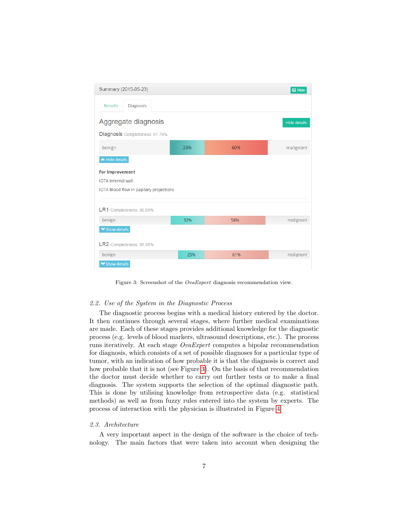

Figure 3: Screenshot of the OvaExpert diagnosis recommendation view.

#### <span id="page-6-0"></span>2.2. Use of the System in the Diagnostic Process

The diagnostic process begins with a medical history entered by the doctor. It then continues through several stages, where further medical examinations are made. Each of these stages provides additional knowledge for the diagnostic process (e.g. levels of blood markers, ultrasound descriptions, etc.). The process runs iteratively. At each stage OvaExpert computes a bipolar recommendation for diagnosis, which consists of a set of possible diagnoses for a particular type of tumor, with an indication of how probable it is that the diagnosis is correct and how probable that it is not (see Figure [3\)](#page-6-0). On the basis of that recommendation the doctor must decide whether to carry out further tests or to make a final diagnosis. The system supports the selection of the optimal diagnostic path. This is done by utilising knowledge from retrospective data (e.g. statistical methods) as well as from fuzzy rules entered into the system by experts. The process of interaction with the physician is illustrated in Figure [4.](#page-7-0)

# 2.3. Architecture

A very important aspect in the design of the software is the choice of technology. The main factors that were taken into account when designing the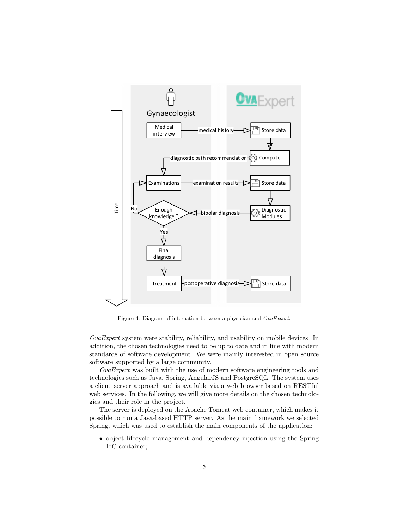

<span id="page-7-0"></span>Figure 4: Diagram of interaction between a physician and *OvaExpert*.

OvaExpert system were stability, reliability, and usability on mobile devices. In addition, the chosen technologies need to be up to date and in line with modern standards of software development. We were mainly interested in open source software supported by a large community.

OvaExpert was built with the use of modern software engineering tools and technologies such as Java, Spring, AngularJS and PostgreSQL. The system uses a client–server approach and is available via a web browser based on RESTful web services. In the following, we will give more details on the chosen technologies and their role in the project.

The server is deployed on the Apache Tomcat web container, which makes it possible to run a Java-based HTTP server. As the main framework we selected Spring, which was used to establish the main components of the application:

• object lifecycle management and dependency injection using the Spring IoC container;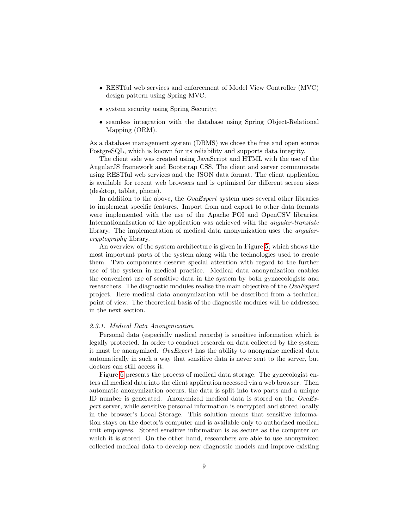- RESTful web services and enforcement of Model View Controller (MVC) design pattern using Spring MVC;
- system security using Spring Security;
- seamless integration with the database using Spring Object-Relational Mapping (ORM).

As a database management system (DBMS) we chose the free and open source PostgreSQL, which is known for its reliability and supports data integrity.

The client side was created using JavaScript and HTML with the use of the AngularJS framework and Bootstrap CSS. The client and server communicate using RESTful web services and the JSON data format. The client application is available for recent web browsers and is optimised for different screen sizes (desktop, tablet, phone).

In addition to the above, the *OvaExpert* system uses several other libraries to implement specific features. Import from and export to other data formats were implemented with the use of the Apache POI and OpenCSV libraries. Internationalisation of the application was achieved with the angular-translate library. The implementation of medical data anonymization uses the *angular*cryptography library.

An overview of the system architecture is given in Figure [5,](#page-9-0) which shows the most important parts of the system along with the technologies used to create them. Two components deserve special attention with regard to the further use of the system in medical practice. Medical data anonymization enables the convenient use of sensitive data in the system by both gynaecologists and researchers. The diagnostic modules realise the main objective of the *OvaExpert* project. Here medical data anonymization will be described from a technical point of view. The theoretical basis of the diagnostic modules will be addressed in the next section.

#### 2.3.1. Medical Data Anonymization

Personal data (especially medical records) is sensitive information which is legally protected. In order to conduct research on data collected by the system it must be anonymized. OvaExpert has the ability to anonymize medical data automatically in such a way that sensitive data is never sent to the server, but doctors can still access it.

Figure [6](#page-10-0) presents the process of medical data storage. The gynecologist enters all medical data into the client application accessed via a web browser. Then automatic anonymization occurs, the data is split into two parts and a unique ID number is generated. Anonymized medical data is stored on the  $OvaEx$ pert server, while sensitive personal information is encrypted and stored locally in the browser's Local Storage. This solution means that sensitive information stays on the doctor's computer and is available only to authorized medical unit employees. Stored sensitive information is as secure as the computer on which it is stored. On the other hand, researchers are able to use anonymized collected medical data to develop new diagnostic models and improve existing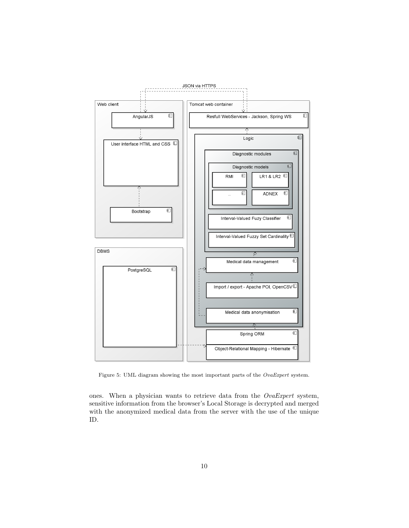

<span id="page-9-0"></span>Figure 5: UML diagram showing the most important parts of the  $OvaExpert$  system.

ones. When a physician wants to retrieve data from the OvaExpert system, sensitive information from the browser's Local Storage is decrypted and merged with the anonymized medical data from the server with the use of the unique ID.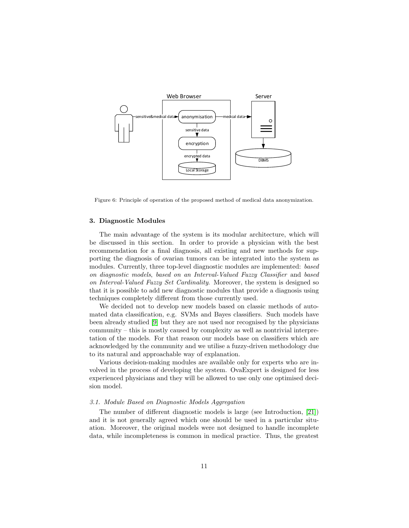

<span id="page-10-0"></span>Figure 6: Principle of operation of the proposed method of medical data anonymization.

## 3. Diagnostic Modules

The main advantage of the system is its modular architecture, which will be discussed in this section. In order to provide a physician with the best recommendation for a final diagnosis, all existing and new methods for supporting the diagnosis of ovarian tumors can be integrated into the system as modules. Currently, three top-level diagnostic modules are implemented: based on diagnostic models, based on an Interval-Valued Fuzzy Classifier and based on Interval-Valued Fuzzy Set Cardinality. Moreover, the system is designed so that it is possible to add new diagnostic modules that provide a diagnosis using techniques completely different from those currently used.

We decided not to develop new models based on classic methods of automated data classification, e.g. SVMs and Bayes classifiers. Such models have been already studied [\[9\]](#page-21-8) but they are not used nor recognised by the physicians community – this is mostly caused by complexity as well as nontrivial interpretation of the models. For that reason our models base on classifiers which are acknowledged by the community and we utilise a fuzzy-driven methodology due to its natural and approachable way of explanation.

Various decision-making modules are available only for experts who are involved in the process of developing the system. OvaExpert is designed for less experienced physicians and they will be allowed to use only one optimised decision model.

## <span id="page-10-1"></span>3.1. Module Based on Diagnostic Models Aggregation

The number of different diagnostic models is large (see Introduction, [\[21\]](#page-23-0)) and it is not generally agreed which one should be used in a particular situation. Moreover, the original models were not designed to handle incomplete data, while incompleteness is common in medical practice. Thus, the greatest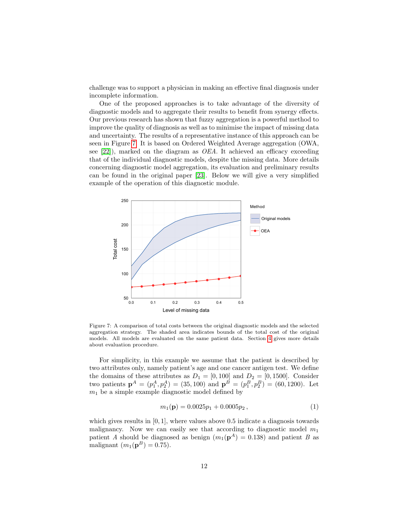challenge was to support a physician in making an effective final diagnosis under incomplete information.

One of the proposed approaches is to take advantage of the diversity of diagnostic models and to aggregate their results to benefit from synergy effects. Our previous research has shown that fuzzy aggregation is a powerful method to improve the quality of diagnosis as well as to minimise the impact of missing data and uncertainty. The results of a representative instance of this approach can be seen in Figure [7.](#page-11-0) It is based on Ordered Weighted Average aggregation (OWA, see  $[22]$ , marked on the diagram as *OEA*. It achieved an efficacy exceeding that of the individual diagnostic models, despite the missing data. More details concerning diagnostic model aggregation, its evaluation and preliminary results can be found in the original paper [\[23\]](#page-23-2). Below we will give a very simplified example of the operation of this diagnostic module.



Figure 7: A comparison of total costs between the original diagnostic models and the selected aggregation strategy. The shaded area indicates bounds of the total cost of the original models. All models are evaluated on the same patient data. Section [4](#page-18-0) gives more details about evaluation procedure.

For simplicity, in this example we assume that the patient is described by two attributes only, namely patient's age and one cancer antigen test. We define the domains of these attributes as  $D_1 = [0, 100]$  and  $D_2 = [0, 1500]$ . Consider two patients  $\mathbf{p}^A = (p_1^A, p_2^A) = (35, 100)$  and  $\mathbf{p}^B = (p_1^B, p_2^B) = (60, 1200)$ . Let  $m_1$  be a simple example diagnostic model defined by

<span id="page-11-0"></span>
$$
m_1(\mathbf{p}) = 0.0025p_1 + 0.0005p_2, \qquad (1)
$$

which gives results in [0, 1], where values above 0.5 indicate a diagnosis towards malignancy. Now we can easily see that according to diagnostic model  $m_1$ patient A should be diagnosed as benign  $(m_1(\mathbf{p}^A) = 0.138)$  and patient B as malignant  $(m_1(\mathbf{p}^B) = 0.75)$ .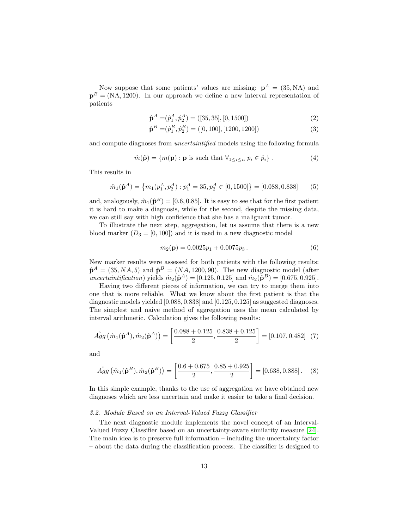Now suppose that some patients' values are missing:  $\mathbf{p}^A = (35, NA)$  and  ${\bf p}^B = (NA, 1200)$ . In our approach we define a new interval representation of patients

$$
\hat{\mathbf{p}}^{A} = (\hat{p}_{1}^{A}, \hat{p}_{2}^{A}) = ([35, 35], [0, 1500])
$$
\n(2)

$$
\hat{\mathbf{p}}^B = (\hat{p}_1^B, \hat{p}_2^B) = ([0, 100], [1200, 1200])
$$
\n(3)

and compute diagnoses from uncertaintified models using the following formula

$$
\hat{m}(\hat{\mathbf{p}}) = \{m(\mathbf{p}) : \mathbf{p} \text{ is such that } \forall_{1 \le i \le n} p_i \in \hat{p}_i\} .
$$
 (4)

This results in

$$
\hat{m}_1(\hat{\mathbf{p}}^A) = \{ m_1(p_1^A, p_2^A) : p_1^A = 35, p_2^A \in [0, 1500] \} = [0.088, 0.838] \tag{5}
$$

and, analogously,  $\hat{m}_1(\hat{\mathbf{p}}^B) = [0.6, 0.85]$ . It is easy to see that for the first patient it is hard to make a diagnosis, while for the second, despite the missing data, we can still say with high confidence that she has a malignant tumor.

To illustrate the next step, aggregation, let us assume that there is a new blood marker  $(D_3 = [0, 100])$  and it is used in a new diagnostic model

$$
m_2(\mathbf{p}) = 0.0025p_1 + 0.0075p_3.
$$
\n<sup>(6)</sup>

New marker results were assessed for both patients with the following results:  $\hat{\mathbf{p}}^A = (35, NA, 5)$  and  $\hat{\mathbf{p}}^B = (NA, 1200, 90)$ . The new diagnostic model (after uncertaintification) yields  $\hat{m}_2(\hat{\mathbf{p}}^A) = [0.125, 0.125]$  and  $\hat{m}_2(\hat{\mathbf{p}}^B) = [0.675, 0.925]$ .

Having two different pieces of information, we can try to merge them into one that is more reliable. What we know about the first patient is that the diagnostic models yielded [0.088, 0.838] and [0.125, 0.125] as suggested diagnoses. The simplest and naive method of aggregation uses the mean calculated by interval arithmetic. Calculation gives the following results:

$$
\hat{Agg}(\hat{m}_1(\hat{\mathbf{p}}^A), \hat{m}_2(\hat{\mathbf{p}}^A)) = \left[\frac{0.088 + 0.125}{2}, \frac{0.838 + 0.125}{2}\right] = [0.107, 0.482] \tag{7}
$$

and

$$
\hat{Agg}(\hat{m}_1(\hat{\mathbf{p}}^B), \hat{m}_2(\hat{\mathbf{p}}^B)) = \left[\frac{0.6 + 0.675}{2}, \frac{0.85 + 0.925}{2}\right] = [0.638, 0.888].
$$
 (8)

In this simple example, thanks to the use of aggregation we have obtained new diagnoses which are less uncertain and make it easier to take a final decision.

# <span id="page-12-0"></span>3.2. Module Based on an Interval-Valued Fuzzy Classifier

The next diagnostic module implements the novel concept of an Interval-Valued Fuzzy Classifier based on an uncertainty-aware similarity measure [\[24\]](#page-23-3). The main idea is to preserve full information – including the uncertainty factor – about the data during the classification process. The classifier is designed to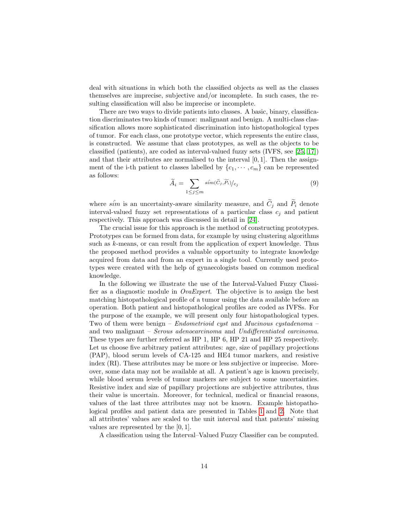deal with situations in which both the classified objects as well as the classes themselves are imprecise, subjective and/or incomplete. In such cases, the resulting classification will also be imprecise or incomplete.

There are two ways to divide patients into classes. A basic, binary, classification discriminates two kinds of tumor: malignant and benign. A multi-class classification allows more sophisticated discrimination into histopathological types of tumor. For each class, one prototype vector, which represents the entire class, is constructed. We assume that class prototypes, as well as the objects to be classified (patients), are coded as interval-valued fuzzy sets (IVFS, see [\[25,](#page-23-4) [17\]](#page-22-7)) and that their attributes are normalised to the interval  $[0, 1]$ . Then the assignment of the i-th patient to classes labelled by  $\{c_1, \dots, c_m\}$  can be represented as follows:

$$
\widetilde{A}_i = \sum_{1 \le j \le m} s \widehat{im}(\widetilde{C}_j, \widetilde{P}_i) / c_j \tag{9}
$$

where  $s\hat{i}m$  is an uncertainty-aware similarity measure, and  $\tilde{C}_j$  and  $\tilde{P}_i$  denote interval-valued fuzzy set representations of a particular class  $c_i$  and patient respectively. This approach was discussed in detail in [\[24\]](#page-23-3).

The crucial issue for this approach is the method of constructing prototypes. Prototypes can be formed from data, for example by using clustering algorithms such as k-means, or can result from the application of expert knowledge. Thus the proposed method provides a valuable opportunity to integrate knowledge acquired from data and from an expert in a single tool. Currently used prototypes were created with the help of gynaecologists based on common medical knowledge.

In the following we illustrate the use of the Interval-Valued Fuzzy Classifier as a diagnostic module in OvaExpert. The objective is to assign the best matching histopathological profile of a tumor using the data available before an operation. Both patient and histopathological profiles are coded as IVFSs. For the purpose of the example, we will present only four histopathological types. Two of them were benign – *Endometrioid cyst* and *Mucinous cystadenoma* – and two malignant – Serous adenocarcinoma and Undifferentiated carcinoma. These types are further referred as HP 1, HP 6, HP 21 and HP 25 respectively. Let us choose five arbitrary patient attributes: age, size of papillary projections (PAP), blood serum levels of CA-125 and HE4 tumor markers, and resistive index (RI). These attributes may be more or less subjective or imprecise. Moreover, some data may not be available at all. A patient's age is known precisely, while blood serum levels of tumor markers are subject to some uncertainties. Resistive index and size of papillary projections are subjective attributes, thus their value is uncertain. Moreover, for technical, medical or financial reasons, values of the last three attributes may not be known. Example histopathological profiles and patient data are presented in Tables [1](#page-14-0) and [2.](#page-14-1) Note that all attributes' values are scaled to the unit interval and that patients' missing values are represented by the [0, 1].

A classification using the Interval–Valued Fuzzy Classifier can be computed.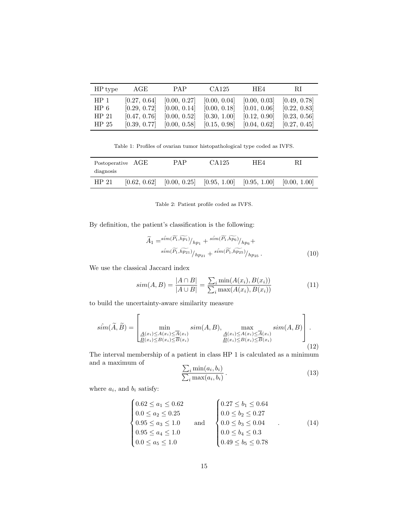| HP type          | AGE          | <b>PAP</b>   | CA125        | HF4          | RІ           |
|------------------|--------------|--------------|--------------|--------------|--------------|
| HP <sub>1</sub>  | [0.27, 0.64] | [0.00, 0.27] | [0.00, 0.04] | [0.00, 0.03] | [0.49, 0.78] |
| $HP_6$           | [0.29, 0.72] | [0.00, 0.14] | [0.00, 0.18] | [0.01, 0.06] | [0.22, 0.83] |
| HP <sub>21</sub> | [0.47, 0.76] | [0.00, 0.52] | [0.30, 1.00] | [0.12, 0.90] | [0.23, 0.56] |
| HP <sub>25</sub> | [0.39, 0.77] | [0.00, 0.58] | [0.15, 0.98] | [0.04, 0.62] | [0.27, 0.45] |

Table 1: Profiles of ovarian tumor histopathological type coded as IVFS.

<span id="page-14-0"></span>

| diagnosis        | Postoperative AGE | PAP | CA125                                                       | HF4 | R.I          |
|------------------|-------------------|-----|-------------------------------------------------------------|-----|--------------|
| HP <sub>21</sub> |                   |     | $[0.62, 0.62]$ $[0.00, 0.25]$ $[0.95, 1.00]$ $[0.95, 1.00]$ |     | [0.00, 1.00] |

Table 2: Patient profile coded as IVFS.

<span id="page-14-1"></span>By definition, the patient's classification is the following:

$$
\widetilde{A}_1 = \frac{\sin(\widetilde{P}_1, \widetilde{hp}_1)}{\sin(\widetilde{P}_1, \widetilde{hp}_{21})}_{hp_{21}} + \frac{\sin(\widetilde{P}_1, \widetilde{hp}_6)}{\sin(\widetilde{P}_1, \widetilde{hp}_{25})}_{hp_{25}}.
$$
\n(10)

We use the classical Jaccard index

$$
sim(A, B) = \frac{|A \cap B|}{|A \cup B|} = \frac{\sum_{i} \min(A(x_i), B(x_i))}{\sum_{i} \max(A(x_i), B(x_i))}
$$
(11)

to build the uncertainty-aware similarity measure

$$
\hat{sim}(\widetilde{A}, \widetilde{B}) = \left[\min_{\substack{\underline{A}(x_i) \le A(x_i) \le \overline{A}(x_i) \\ \underline{B}(x_i) \le B(x_i) \le \overline{B}(x_i)}} \hat{sim}(A, B), \max_{\substack{\underline{A}(x_i) \le A(x_i) \le \overline{A}(x_i) \\ \underline{B}(x_i) \le B(x_i) \le \overline{B}(x_i)}} \hat{sim}(A, B)\right].
$$
\n(12)

The interval membership of a patient in class HP 1 is calculated as a minimum and a maximum of

$$
\frac{\sum_{i} \min(a_i, b_i)}{\sum_{i} \max(a_i, b_i)}.
$$
\n(13)

where  $a_i$ , and  $b_i$  satisfy:

$$
\begin{cases}\n0.62 \le a_1 \le 0.62 \\
0.0 \le a_2 \le 0.25 \\
0.95 \le a_3 \le 1.0 \\
0.0 \le a_5 \le 1.0\n\end{cases}\n\text{ and }\n\begin{cases}\n0.27 \le b_1 \le 0.64 \\
0.0 \le b_2 \le 0.27 \\
0.0 \le b_3 \le 0.04 \\
0.0 \le b_4 \le 0.3 \\
0.49 \le b_5 \le 0.78\n\end{cases}
$$
\n(14)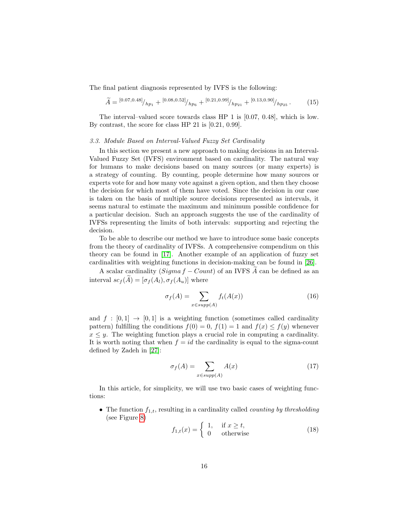The final patient diagnosis represented by IVFS is the following:

$$
\widetilde{A} = \frac{[0.07, 0.48]}{h_{p_1} + [0.08, 0.52]} /_{hp_6} + \frac{[0.21, 0.99]}{h_{p_{21}} + [0.13, 0.90]} /_{hp_{25}}.
$$
 (15)

The interval–valued score towards class HP 1 is [0.07, 0.48], which is low. By contrast, the score for class HP 21 is [0.21, 0.99].

## <span id="page-15-0"></span>3.3. Module Based on Interval-Valued Fuzzy Set Cardinality

In this section we present a new approach to making decisions in an Interval-Valued Fuzzy Set (IVFS) environment based on cardinality. The natural way for humans to make decisions based on many sources (or many experts) is a strategy of counting. By counting, people determine how many sources or experts vote for and how many vote against a given option, and then they choose the decision for which most of them have voted. Since the decision in our case is taken on the basis of multiple source decisions represented as intervals, it seems natural to estimate the maximum and minimum possible confidence for a particular decision. Such an approach suggests the use of the cardinality of IVFSs representing the limits of both intervals: supporting and rejecting the decision.

To be able to describe our method we have to introduce some basic concepts from the theory of cardinality of IVFSs. A comprehensive compendium on this theory can be found in [\[17\]](#page-22-7). Another example of an application of fuzzy set cardinalities with weighting functions in decision-making can be found in [\[26\]](#page-23-5).

A scalar cardinality ( $Sigma f - Count$ ) of an IVFS  $\ddot{A}$  can be defined as an interval  $sc_f(\widetilde{A}) = [\sigma_f(A_l), \sigma_f(A_u)]$  where

$$
\sigma_f(A) = \sum_{x \in supp(A)} f_t(A(x)) \tag{16}
$$

and  $f : [0, 1] \rightarrow [0, 1]$  is a weighting function (sometimes called cardinality pattern) fulfilling the conditions  $f(0) = 0$ ,  $f(1) = 1$  and  $f(x) \leq f(y)$  whenever  $x \leq y$ . The weighting function plays a crucial role in computing a cardinality. It is worth noting that when  $f = id$  the cardinality is equal to the sigma-count defined by Zadeh in [\[27\]](#page-23-6):

$$
\sigma_f(A) = \sum_{x \in supp(A)} A(x) \tag{17}
$$

In this article, for simplicity, we will use two basic cases of weighting functions:

• The function  $f_{1,t}$ , resulting in a cardinality called *counting by thresholding* (see Figure [8\)](#page-16-0)

$$
f_{1,t}(x) = \begin{cases} 1, & \text{if } x \ge t, \\ 0 & \text{otherwise} \end{cases}
$$
 (18)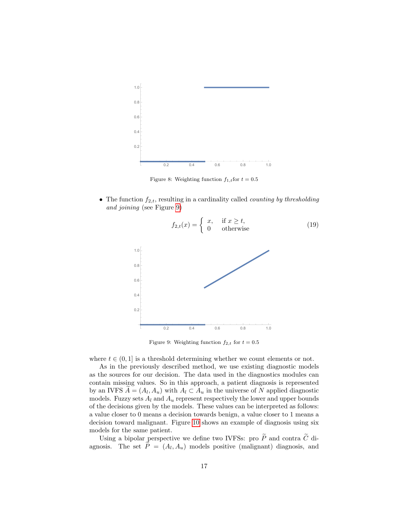

<span id="page-16-0"></span>Figure 8: Weighting function  $f_{1,t}$  for  $t = 0.5$ 

• The function  $f_{2,t}$ , resulting in a cardinality called *counting by thresholding* and joining (see Figure [9\)](#page-16-1)



<span id="page-16-1"></span>Figure 9: Weighting function  $f_{2,t}$  for  $t = 0.5$ 

where  $t \in (0, 1]$  is a threshold determining whether we count elements or not.

As in the previously described method, we use existing diagnostic models as the sources for our decision. The data used in the diagnostics modules can contain missing values. So in this approach, a patient diagnosis is represented by an IVFS  $A = (A_l, A_u)$  with  $A_l \subset A_u$  in the universe of N applied diagnostic models. Fuzzy sets  $A_l$  and  $A_u$  represent respectively the lower and upper bounds of the decisions given by the models. These values can be interpreted as follows: a value closer to 0 means a decision towards benign, a value closer to 1 means a decision toward malignant. Figure [10](#page-17-0) shows an example of diagnosis using six models for the same patient.

Using a bipolar perspective we define two IVFSs: pro  $\widetilde{P}$  and contra  $\widetilde{C}$  diagnosis. The set  $P = (A_l, A_u)$  models positive (malignant) diagnosis, and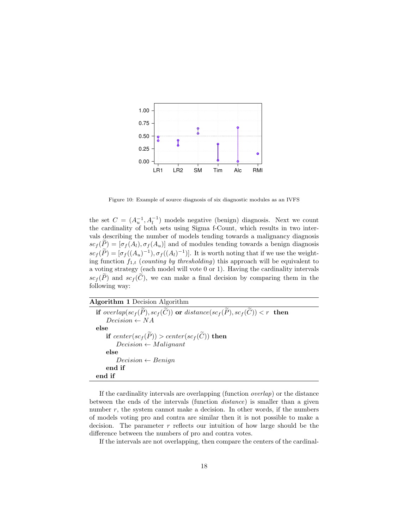<span id="page-17-0"></span>

Figure 10: Example of source diagnosis of six diagnostic modules as an IVFS

the set  $C = (A_u^{-1}, A_l^{-1})$  models negative (benign) diagnosis. Next we count the cardinality of both sets using Sigma f-Count, which results in two intervals describing the number of models tending towards a malignancy diagnosis  $sc_f(P) = [\sigma_f(A_l), \sigma_f(A_u)]$  and of modules tending towards a benign diagnosis  $sc_f(\tilde{P}) = [\sigma_f((A_u)^{-1}), \sigma_f((A_l)^{-1})]$ . It is worth noting that if we use the weighting function  $f_{1,t}$  (counting by thresholding) this approach will be equivalent to a voting strategy (each model will vote 0 or 1). Having the cardinality intervals  $sc_f(\tilde{P})$  and  $sc_f(\tilde{C})$ , we can make a final decision by comparing them in the following way:

Algorithm 1 Decision Algorithm

if  $overlap(scf(\tilde{P}), sc_f(\tilde{C}))$  or  $distance(scf(\tilde{P}), sc_f(\tilde{C})) < r$  then  $Decision \leftarrow NA$ else if  $center(scf(\tilde{P}))$  >  $center(scf(\tilde{C}))$  then  $Decision \leftarrow Malignant$ else  $Decision \leftarrow Benjamin$ end if end if

If the cardinality intervals are overlapping (function *overlap*) or the distance between the ends of the intervals (function distance) is smaller than a given number  $r$ , the system cannot make a decision. In other words, if the numbers of models voting pro and contra are similar then it is not possible to make a decision. The parameter  $r$  reflects our intuition of how large should be the difference between the numbers of pro and contra votes.

If the intervals are not overlapping, then compare the centers of the cardinal-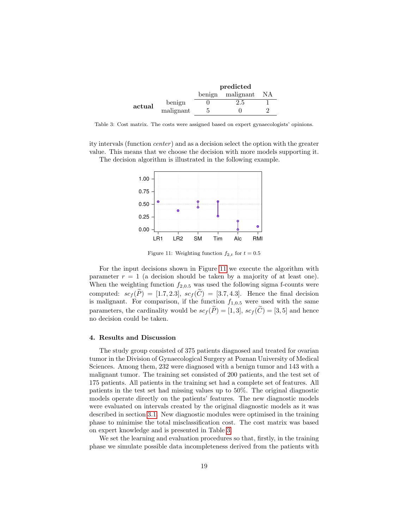<span id="page-18-2"></span>

|        |           | predicted |                  |      |  |
|--------|-----------|-----------|------------------|------|--|
|        |           |           | benign malignant | - NA |  |
| actual | benign    |           | 2.5              |      |  |
|        | malignant |           |                  |      |  |

Table 3: Cost matrix. The costs were assigned based on expert gynaecologists' opinions.

ity intervals (function *center*) and as a decision select the option with the greater value. This means that we choose the decision with more models supporting it.

The decision algorithm is illustrated in the following example.



<span id="page-18-1"></span>Figure 11: Weighting function  $f_{2,t}$  for  $t = 0.5$ 

For the input decisions shown in Figure [11](#page-18-1) we execute the algorithm with parameter  $r = 1$  (a decision should be taken by a majority of at least one). When the weighting function  $f_{2,0.5}$  was used the following sigma f-counts were computed:  $sc_f(\widetilde{P}) = [1.7, 2.3], sc_f(\widetilde{C}) = [3.7, 4.3].$  Hence the final decision is malignant. For comparison, if the function  $f_{1,0.5}$  were used with the same parameters, the cardinality would be  $sc_f(\tilde{P}) = [1,3], sc_f(\tilde{C}) = [3,5]$  and hence no decision could be taken.

# <span id="page-18-0"></span>4. Results and Discussion

The study group consisted of 375 patients diagnosed and treated for ovarian tumor in the Division of Gynaecological Surgery at Poznan University of Medical Sciences. Among them, 232 were diagnosed with a benign tumor and 143 with a malignant tumor. The training set consisted of 200 patients, and the test set of 175 patients. All patients in the training set had a complete set of features. All patients in the test set had missing values up to 50%. The original diagnostic models operate directly on the patients' features. The new diagnostic models were evaluated on intervals created by the original diagnostic models as it was described in section [3.1.](#page-10-1) New diagnostic modules were optimised in the training phase to minimise the total misclassification cost. The cost matrix was based on expert knowledge and is presented in Table [3.](#page-18-2)

We set the learning and evaluation procedures so that, firstly, in the training phase we simulate possible data incompleteness derived from the patients with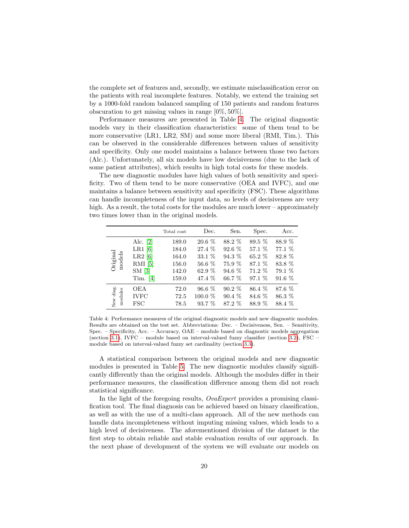the complete set of features and, secondly, we estimate misclassification error on the patients with real incomplete features. Notably, we extend the training set by a 1000-fold random balanced sampling of 150 patients and random features obscuration to get missing values in range [0%, 50%].

Performance measures are presented in Table [4.](#page-19-0) The original diagnostic models vary in their classification characteristics: some of them tend to be more conservative (LR1, LR2, SM) and some more liberal (RMI, Tim.). This can be observed in the considerable differences between values of sensitivity and specificity. Only one model maintains a balance between those two factors (Alc.). Unfortunately, all six models have low decisiveness (due to the lack of some patient attributes), which results in high total costs for these models.

The new diagnostic modules have high values of both sensitivity and specificity. Two of them tend to be more conservative (OEA and IVFC), and one maintains a balance between sensitivity and specificity (FSC). These algorithms can handle incompleteness of the input data, so levels of decisiveness are very high. As a result, the total costs for the modules are much lower – approximately two times lower than in the original models.

<span id="page-19-0"></span>

|                    |             | Total cost | Dec.     | Sen.     | Spec.  | Acc.     |
|--------------------|-------------|------------|----------|----------|--------|----------|
|                    | Alc. $[2]$  | 189.0      | 20.6 %   | 88.2 %   | 89.5 % | 88.9 %   |
|                    | LR1 [6]     | 184.0      | 27.4 %   | 92.6 %   | 57.1 % | 77.1 %   |
|                    | LR2 [6]     | 164.0      | 33.1 %   | 94.3 %   | 65.2 % | 82.8 %   |
| Original<br>models | $RMI$ [5]   | 156.0      | $56.6\%$ | 75.9 %   | 87.1 % | 83.8 %   |
|                    | $SM$ [3]    | 142.0      | 62.9 %   | $94.6\%$ | 71.2 % | 79.1%    |
|                    | Tim. [4]    | 159.0      | 47.4 %   | 66.7 %   | 97.1 % | $91.6\%$ |
|                    | OEA         | 72.0       | $96.6\%$ | $90.2\%$ | 86.4 % | 87.6 %   |
| modules            | <b>IVFC</b> | 72.5       | 100.0 %  | 90.4 %   | 84.6 % | 86.3 %   |
| New diag.          | <b>FSC</b>  | 78.5       | $93.7\%$ | 87.2 %   | 88.9 % | 88.4 %   |

Table 4: Performance measures of the original diagnostic models and new diagnostic modules. Results are obtained on the test set. Abbreviations: Dec. – Decisiveness, Sen. – Sensitivity, Spec. – Specificity, Acc. – Accuracy, OAE – module based on diagnostic models aggregation (section [3.1\)](#page-10-1), IVFC – module based on interval-valued fuzzy classifier (section [3.2\)](#page-12-0), FSC – module based on interval-valued fuzzy set cardinality (section [3.3\)](#page-15-0).

A statistical comparison between the original models and new diagnostic modules is presented in Table [5.](#page-20-0) The new diagnostic modules classify significantly differently than the original models. Although the modules differ in their performance measures, the classification difference among them did not reach statistical significance.

In the light of the foregoing results,  $OvaExpert$  provides a promising classification tool. The final diagnosis can be achieved based on binary classification, as well as with the use of a multi-class approach. All of the new methods can handle data incompleteness without imputing missing values, which leads to a high level of decisiveness. The aforementioned division of the dataset is the first step to obtain reliable and stable evaluation results of our approach. In the next phase of development of the system we will evaluate our models on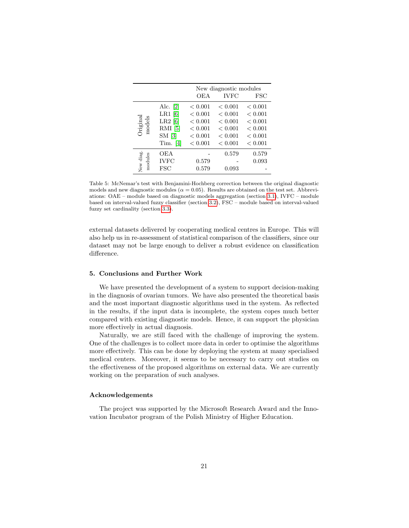<span id="page-20-0"></span>

|                      |                                                                                | OEA                                                            | New diagnostic modules<br><b>IVFC</b>                                          | $_{\mathrm{FSC}}$                                                                  |
|----------------------|--------------------------------------------------------------------------------|----------------------------------------------------------------|--------------------------------------------------------------------------------|------------------------------------------------------------------------------------|
| Original<br>models   | Alc. $ 2 $<br>$LR1$ [6]<br>$LR2$ [6]<br>$RMI$ [5]<br>$SM$ [3]<br>$Tim. \; [4]$ | < 0.001<br>< 0.001<br>< 0.001<br>< 0.001<br>< 0.001<br>< 0.001 | < 0.001<br>${}< 0.001$<br>${}< 0.001$<br>${}< 0.001$<br>< 0.001<br>${}< 0.001$ | < 0.001<br>${}< 0.001$<br>${}< 0.001$<br>${}< 0.001$<br>${}< 0.001$<br>${}< 0.001$ |
| New diag.<br>modules | OEA<br><b>IVFC</b><br><b>FSC</b>                                               | 0.579<br>0.579                                                 | 0.579<br>0.093                                                                 | 0.579<br>0.093                                                                     |

Table 5: McNemar's test with Benjamini-Hochberg correction between the original diagnostic models and new diagnostic modules ( $\alpha = 0.05$ ). Results are obtained on the test set. Abbreviations: OAE – module based on diagnostic models aggregation (section [3.1\)](#page-10-1), IVFC – module based on interval-valued fuzzy classifier (section [3.2\)](#page-12-0), FSC – module based on interval-valued fuzzy set cardinality (section [3.3\)](#page-15-0).

external datasets delivered by cooperating medical centres in Europe. This will also help us in re-assessment of statistical comparison of the classifiers, since our dataset may not be large enough to deliver a robust evidence on classification difference.

# 5. Conclusions and Further Work

We have presented the development of a system to support decision-making in the diagnosis of ovarian tumors. We have also presented the theoretical basis and the most important diagnostic algorithms used in the system. As reflected in the results, if the input data is incomplete, the system copes much better compared with existing diagnostic models. Hence, it can support the physician more effectively in actual diagnosis.

Naturally, we are still faced with the challenge of improving the system. One of the challenges is to collect more data in order to optimise the algorithms more effectively. This can be done by deploying the system at many specialised medical centers. Moreover, it seems to be necessary to carry out studies on the effectiveness of the proposed algorithms on external data. We are currently working on the preparation of such analyses.

# Acknowledgements

The project was supported by the Microsoft Research Award and the Innovation Incubator program of the Polish Ministry of Higher Education.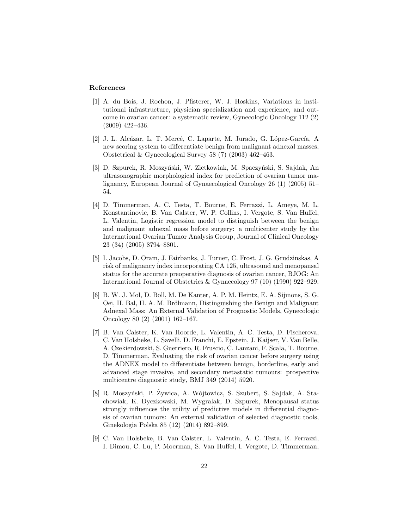# References

- <span id="page-21-0"></span>[1] A. du Bois, J. Rochon, J. Pfisterer, W. J. Hoskins, Variations in institutional infrastructure, physician specialization and experience, and outcome in ovarian cancer: a systematic review, Gynecologic Oncology 112 (2) (2009) 422–436.
- <span id="page-21-1"></span>[2] J. L. Alcázar, L. T. Mercé, C. Laparte, M. Jurado, G. López-García, A new scoring system to differentiate benign from malignant adnexal masses, Obstetrical & Gynecological Survey 58 (7) (2003) 462–463.
- <span id="page-21-2"></span>[3] D. Szpurek, R. Moszyński, W. Zietkowiak, M. Spaczyński, S. Sajdak, An ultrasonographic morphological index for prediction of ovarian tumor malignancy, European Journal of Gynaecological Oncology 26 (1) (2005) 51– 54.
- <span id="page-21-3"></span>[4] D. Timmerman, A. C. Testa, T. Bourne, E. Ferrazzi, L. Ameye, M. L. Konstantinovic, B. Van Calster, W. P. Collins, I. Vergote, S. Van Huffel, L. Valentin, Logistic regression model to distinguish between the benign and malignant adnexal mass before surgery: a multicenter study by the International Ovarian Tumor Analysis Group, Journal of Clinical Oncology 23 (34) (2005) 8794–8801.
- <span id="page-21-4"></span>[5] I. Jacobs, D. Oram, J. Fairbanks, J. Turner, C. Frost, J. G. Grudzinskas, A risk of malignancy index incorporating CA 125, ultrasound and menopausal status for the accurate preoperative diagnosis of ovarian cancer, BJOG: An International Journal of Obstetrics & Gynaecology 97 (10) (1990) 922–929.
- <span id="page-21-5"></span>[6] B. W. J. Mol, D. Boll, M. De Kanter, A. P. M. Heintz, E. A. Sijmons, S. G. Oei, H. Bal, H. A. M. Brölmann, Distinguishing the Benign and Malignant Adnexal Mass: An External Validation of Prognostic Models, Gynecologic Oncology 80 (2) (2001) 162–167.
- <span id="page-21-6"></span>[7] B. Van Calster, K. Van Hoorde, L. Valentin, A. C. Testa, D. Fischerova, C. Van Holsbeke, L. Savelli, D. Franchi, E. Epstein, J. Kaijser, V. Van Belle, A. Czekierdowski, S. Guerriero, R. Fruscio, C. Lanzani, F. Scala, T. Bourne, D. Timmerman, Evaluating the risk of ovarian cancer before surgery using the ADNEX model to differentiate between benign, borderline, early and advanced stage invasive, and secondary metastatic tumours: prospective multicentre diagnostic study, BMJ 349 (2014) 5920.
- <span id="page-21-7"></span>[8] R. Moszyński, P. Zywica, A. Wójtowicz, S. Szubert, S. Sajdak, A. Stachowiak, K. Dyczkowski, M. Wygralak, D. Szpurek, Menopausal status strongly influences the utility of predictive models in differential diagnosis of ovarian tumors: An external validation of selected diagnostic tools, Ginekologia Polska 85 (12) (2014) 892–899.
- <span id="page-21-8"></span>[9] C. Van Holsbeke, B. Van Calster, L. Valentin, A. C. Testa, E. Ferrazzi, I. Dimou, C. Lu, P. Moerman, S. Van Huffel, I. Vergote, D. Timmerman,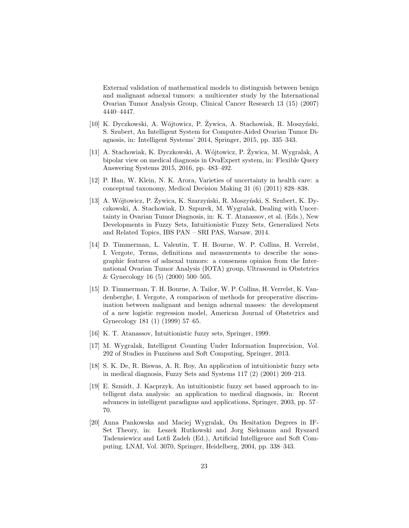External validation of mathematical models to distinguish between benign and malignant adnexal tumors: a multicenter study by the International Ovarian Tumor Analysis Group, Clinical Cancer Research 13 (15) (2007) 4440–4447.

- <span id="page-22-0"></span>[10] K. Dyczkowski, A. Wójtowicz, P. Żywica, A. Stachowiak, R. Moszyński, S. Szubert, An Intelligent System for Computer-Aided Ovarian Tumor Diagnosis, in: Intelligent Systems' 2014, Springer, 2015, pp. 335–343.
- <span id="page-22-1"></span>[11] A. Stachowiak, K. Dyczkowski, A. W´ojtowicz, P. Zywica, M. Wygralak, A ˙ bipolar view on medical diagnosis in OvaExpert system, in: Flexible Query Answering Systems 2015, 2016, pp. 483–492.
- <span id="page-22-2"></span>[12] P. Han, W. Klein, N. K. Arora, Varieties of uncertainty in health care: a conceptual taxonomy, Medical Decision Making 31 (6) (2011) 828–838.
- <span id="page-22-3"></span>[13] A. Wójtowicz, P. Żywica, K. Szarzyński, R. Moszyński, S. Szubert, K. Dyczkowski, A. Stachowiak, D. Szpurek, M. Wygralak, Dealing with Uncertainty in Ovarian Tumor Diagnosis, in: K. T. Atanassov, et al. (Eds.), New Developments in Fuzzy Sets, Intuitionistic Fuzzy Sets, Generalized Nets and Related Topics, IBS PAN – SRI PAS, Warsaw, 2014.
- <span id="page-22-4"></span>[14] D. Timmerman, L. Valentin, T. H. Bourne, W. P. Collins, H. Verrelst, I. Vergote, Terms, definitions and measurements to describe the sonographic features of adnexal tumors: a consensus opinion from the International Ovarian Tumor Analysis (IOTA) group, Ultrasound in Obstetrics & Gynecology 16 (5) (2000) 500–505.
- <span id="page-22-5"></span>[15] D. Timmerman, T. H. Bourne, A. Tailor, W. P. Collins, H. Verrelst, K. Vandenberghe, I. Vergote, A comparison of methods for preoperative discrimination between malignant and benign adnexal masses: the development of a new logistic regression model, American Journal of Obstetrics and Gynecology 181 (1) (1999) 57–65.
- <span id="page-22-6"></span>[16] K. T. Atanassov, Intuitionistic fuzzy sets, Springer, 1999.
- <span id="page-22-7"></span>[17] M. Wygralak, Intelligent Counting Under Information Imprecision, Vol. 292 of Studies in Fuzziness and Soft Computing, Springer, 2013.
- <span id="page-22-8"></span>[18] S. K. De, R. Biswas, A. R. Roy, An application of intuitionistic fuzzy sets in medical diagnosis, Fuzzy Sets and Systems 117 (2) (2001) 209–213.
- <span id="page-22-9"></span>[19] E. Szmidt, J. Kacprzyk, An intuitionistic fuzzy set based approach to intelligent data analysis: an application to medical diagnosis, in: Recent advances in intelligent paradigms and applications, Springer, 2003, pp. 57– 70.
- <span id="page-22-10"></span>[20] Anna Pankowska and Maciej Wygralak, On Hesitation Degrees in IF-Set Theory, in: Leszek Rutkowski and Jorg Siekmann and Ryszard Tadeusiewicz and Lotfi Zadeh (Ed.), Artificial Intelligence and Soft Computing. LNAI, Vol. 3070, Springer, Heidelberg, 2004, pp. 338–343.